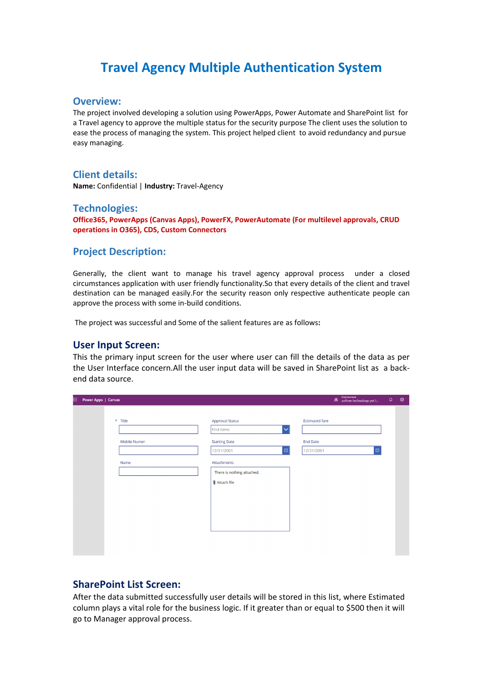# **Travel Agency Multiple Authentication System**

#### **Overview:**

The project involved developing a solution using PowerApps, Power Automate and SharePoint list for a Travel agency to approve the multiple status for the security purpose The client uses the solution to ease the process of managing the system. This project helped client to avoid redundancy and pursue easy managing.

# **Client details:**

**Name:** Confidential | **Industry:** Travel-Agency

### **Technologies:**

**Office365, PowerApps (Canvas Apps), PowerFX, PowerAutomate (For multilevel approvals, CRUD operations in O365), CDS, Custom Connectors**

### **Project Description:**

Generally, the client want to manage his travel agency approval process under a closed circumstances application with user friendly functionality.So that every details of the client and travel destination can be managed easily.For the security reason only respective authenticate people can approve the process with some in-build conditions.

The project was successful and Some of the salient features are as follows**:**

#### **User Input Screen:**

This the primary input screen for the user where user can fill the details of the data as per the User Interface concern.All the user input data will be saved in SharePoint list as a backend data source.

| Ⅲ. | Power Apps   Canvas |                                 |                                                                                                                                                                                 |                                                        | Environment<br>Softree technology pvt I | $\hbox{\ensuremath{\mathsf{Q}}}\xspace$ | ශ |
|----|---------------------|---------------------------------|---------------------------------------------------------------------------------------------------------------------------------------------------------------------------------|--------------------------------------------------------|-----------------------------------------|-----------------------------------------|---|
|    |                     | * Title<br>Mobile Numer<br>Name | <b>Approval Status</b><br>Find items<br>$\checkmark$<br><b>Starting Date</b><br>e.<br>12/31/2001<br>Attachments<br>There is nothing attached.<br>$\mathbf{\hat{U}}$ Attach file | <b>Estimated fare</b><br><b>End Date</b><br>12/31/2001 | $\boxdot$                               |                                         |   |
|    |                     |                                 |                                                                                                                                                                                 |                                                        |                                         |                                         |   |

## **SharePoint List Screen:**

After the data submitted successfully user details will be stored in this list, where Estimated column plays a vital role for the business logic. If it greater than or equal to \$500 then it will go to Manager approval process.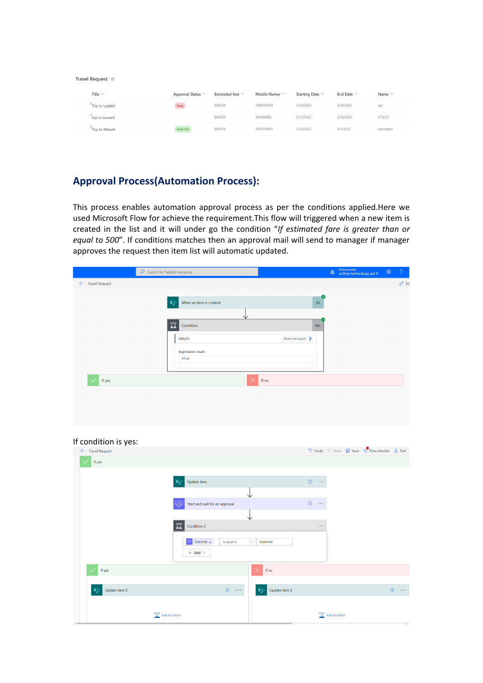| Travel Request | - 차 |
|----------------|-----|
|                |     |

| Title $\vee$   | Approval Status $\vee$ | Estimated fare $\vee$ | Mobile Numer $\vee$ | Starting Date $\vee$ | End Date $\vee$ | Name $\vee$ |
|----------------|------------------------|-----------------------|---------------------|----------------------|-----------------|-------------|
| Trip to Ladakh | New                    | \$400.00              | 7984555858          | 3/29/2022            | 3/30/2022       | XYZ         |
| trip to konark |                        | \$600.00              | 456468686           | 3/15/2022            | 3/30/2022       | 57\5\57     |
| Trip to Manali | Rejected               | \$800.00              | 7893556455          | 3/23/2022            | 4/1/2022        | iuytregtyu  |

# **Approval Process(Automation Process):**

This process enables automation approval process as per the conditions applied.Here we used Microsoft Flow for achieve the requirement.This flow will triggered when a new item is created in the list and it will under go the condition "*If estimated fare is greater than or equal to 500*". If conditions matches then an approval mail will send to manager if manager approves the request then item list will automatic updated.

|                             | $\overline{\mathcal{P}}$ Search for helpful resources                                                                            |                 | $\bigoplus$ | Environments<br>softree technology pvt lt | భ | $\mathcal{P}$    |
|-----------------------------|----------------------------------------------------------------------------------------------------------------------------------|-----------------|-------------|-------------------------------------------|---|------------------|
| $\leftarrow$ Travel Request |                                                                                                                                  |                 |             |                                           |   | $\mathscr{O}$ Ed |
|                             | When an item is created<br>$S_{\mu}$<br>豆<br>Condition<br>Show raw inputs ><br><b>INPUTS</b><br><b>Expression result</b><br>true | Q<br>$0s$<br>6m |             |                                           |   |                  |
| If yes                      | $\times$<br>If no                                                                                                                |                 |             |                                           |   |                  |
| If condition is yes:        |                                                                                                                                  |                 |             |                                           |   |                  |

| If condition is yes:         |                                        |                                  |                                        |                                                                                 |
|------------------------------|----------------------------------------|----------------------------------|----------------------------------------|---------------------------------------------------------------------------------|
| $\leftarrow$ Travel Request  |                                        |                                  |                                        | $\sqrt{2}$ Undo $\sqrt{6}$ Redo $\Box$ Save $\sqrt{6}$ Flow checker $\Box$ Test |
| If yes<br>$\checkmark$       |                                        |                                  |                                        |                                                                                 |
|                              | Update item<br>S                       |                                  | $\circledcirc$<br>$\sim$ $\sim$ $\sim$ |                                                                                 |
|                              | ◡                                      |                                  |                                        |                                                                                 |
|                              | رج)<br>Start and wait for an approval  |                                  | $^{\circ}$<br>$\sim$ $\sim$ $\sim$     |                                                                                 |
|                              | ◡                                      |                                  |                                        |                                                                                 |
|                              | 豆<br>Condition 2                       |                                  | $\sim$ $\sim$ $\sim$                   |                                                                                 |
|                              | Outcome $\times$<br>is equal to        | Approved<br>$\checkmark$         |                                        |                                                                                 |
|                              | $+$ Add $\vee$                         |                                  |                                        |                                                                                 |
| If yes<br>$\checkmark$       |                                        | $\times$<br>If no                |                                        |                                                                                 |
|                              |                                        |                                  |                                        |                                                                                 |
| Update item 2<br>$S_{\perp}$ | $\circledcirc$<br>$\sim$ $\sim$ $\sim$ | Update item 3<br>$S_{\parallel}$ |                                        | $\sim 10$<br>$\circledcirc$                                                     |
|                              |                                        |                                  |                                        |                                                                                 |
| Add an action                |                                        |                                  | Add an action                          |                                                                                 |